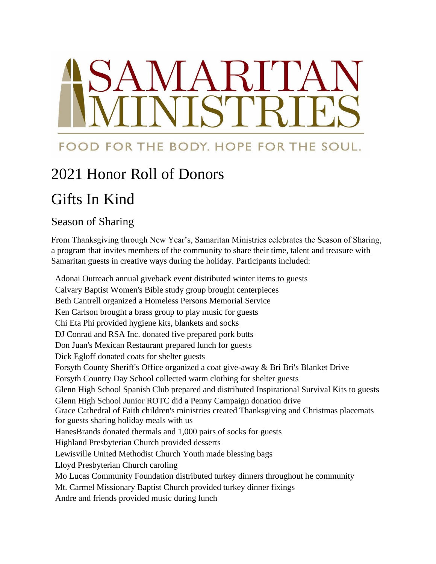# NNARI'

## FOOD FOR THE BODY. HOPE FOR THE SOUL.

# 2021 Honor Roll of Donors

# Gifts In Kind

### Season of Sharing

From Thanksgiving through New Year's, Samaritan Ministries celebrates the Season of Sharing, a program that invites members of the community to share their time, talent and treasure with Samaritan guests in creative ways during the holiday. Participants included:

Adonai Outreach annual giveback event distributed winter items to guests Calvary Baptist Women's Bible study group brought centerpieces Beth Cantrell organized a Homeless Persons Memorial Service Ken Carlson brought a brass group to play music for guests Chi Eta Phi provided hygiene kits, blankets and socks DJ Conrad and RSA Inc. donated five prepared pork butts Don Juan's Mexican Restaurant prepared lunch for guests Dick Egloff donated coats for shelter guests Forsyth County Sheriff's Office organized a coat give-away & Bri Bri's Blanket Drive Forsyth Country Day School collected warm clothing for shelter guests Glenn High School Spanish Club prepared and distributed Inspirational Survival Kits to guests Glenn High School Junior ROTC did a Penny Campaign donation drive Grace Cathedral of Faith children's ministries created Thanksgiving and Christmas placemats for guests sharing holiday meals with us HanesBrands donated thermals and 1,000 pairs of socks for guests Highland Presbyterian Church provided desserts Lewisville United Methodist Church Youth made blessing bags Lloyd Presbyterian Church caroling Mo Lucas Community Foundation distributed turkey dinners throughout he community Mt. Carmel Missionary Baptist Church provided turkey dinner fixings Andre and friends provided music during lunch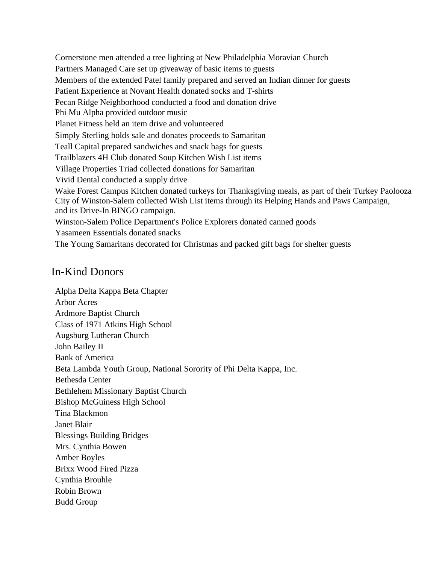Cornerstone men attended a tree lighting at New Philadelphia Moravian Church Partners Managed Care set up giveaway of basic items to guests Members of the extended Patel family prepared and served an Indian dinner for guests Patient Experience at Novant Health donated socks and T-shirts Pecan Ridge Neighborhood conducted a food and donation drive Phi Mu Alpha provided outdoor music Planet Fitness held an item drive and volunteered Simply Sterling holds sale and donates proceeds to Samaritan Teall Capital prepared sandwiches and snack bags for guests Trailblazers 4H Club donated Soup Kitchen Wish List items Village Properties Triad collected donations for Samaritan Vivid Dental conducted a supply drive Wake Forest Campus Kitchen donated turkeys for Thanksgiving meals, as part of their Turkey Paolooza City of Winston-Salem collected Wish List items through its Helping Hands and Paws Campaign, and its Drive-In BINGO campaign. Winston-Salem Police Department's Police Explorers donated canned goods Yasameen Essentials donated snacks The Young Samaritans decorated for Christmas and packed gift bags for shelter guests

### In-Kind Donors

Alpha Delta Kappa Beta Chapter Arbor Acres Ardmore Baptist Church Class of 1971 Atkins High School Augsburg Lutheran Church John Bailey II Bank of America Beta Lambda Youth Group, National Sorority of Phi Delta Kappa, Inc. Bethesda Center Bethlehem Missionary Baptist Church Bishop McGuiness High School Tina Blackmon Janet Blair Blessings Building Bridges Mrs. Cynthia Bowen Amber Boyles Brixx Wood Fired Pizza Cynthia Brouhle Robin Brown Budd Group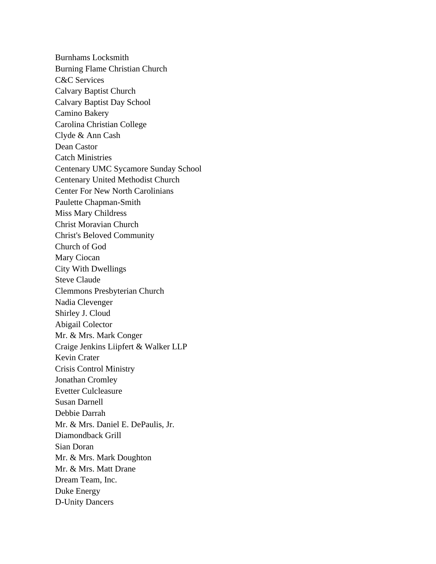Burnhams Locksmith Burning Flame Christian Church C&C Services Calvary Baptist Church Calvary Baptist Day School Camino Bakery Carolina Christian College Clyde & Ann Cash Dean Castor Catch Ministries Centenary UMC Sycamore Sunday School Centenary United Methodist Church Center For New North Carolinians Paulette Chapman-Smith Miss Mary Childress Christ Moravian Church Christ's Beloved Community Church of God Mary Ciocan City With Dwellings Steve Claude Clemmons Presbyterian Church Nadia Clevenger Shirley J. Cloud Abigail Colector Mr. & Mrs. Mark Conger Craige Jenkins Liipfert & Walker LLP Kevin Crater Crisis Control Ministry Jonathan Cromley Evetter Culcleasure Susan Darnell Debbie Darrah Mr. & Mrs. Daniel E. DePaulis, Jr. Diamondback Grill Sian Doran Mr. & Mrs. Mark Doughton Mr. & Mrs. Matt Drane Dream Team, Inc. Duke Energy D-Unity Dancers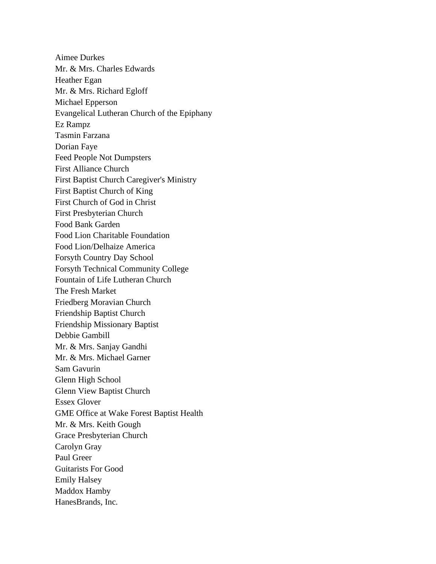Aimee Durkes Mr. & Mrs. Charles Edwards Heather Egan Mr. & Mrs. Richard Egloff Michael Epperson Evangelical Lutheran Church of the Epiphany Ez Rampz Tasmin Farzana Dorian Faye Feed People Not Dumpsters First Alliance Church First Baptist Church Caregiver's Ministry First Baptist Church of King First Church of God in Christ First Presbyterian Church Food Bank Garden Food Lion Charitable Foundation Food Lion/Delhaize America Forsyth Country Day School Forsyth Technical Community College Fountain of Life Lutheran Church The Fresh Market Friedberg Moravian Church Friendship Baptist Church Friendship Missionary Baptist Debbie Gambill Mr. & Mrs. Sanjay Gandhi Mr. & Mrs. Michael Garner Sam Gavurin Glenn High School Glenn View Baptist Church Essex Glover GME Office at Wake Forest Baptist Health Mr. & Mrs. Keith Gough Grace Presbyterian Church Carolyn Gray Paul Greer Guitarists For Good Emily Halsey Maddox Hamby HanesBrands, Inc.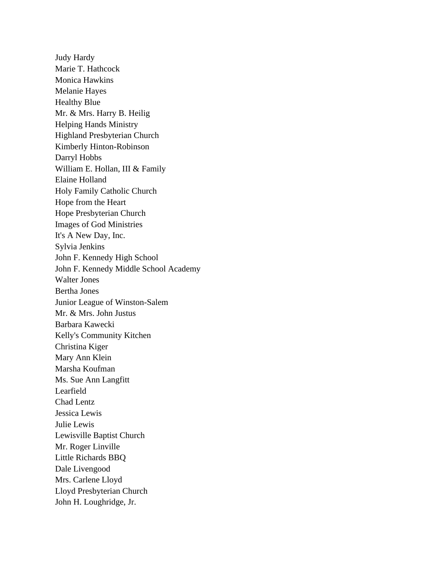Judy Hardy Marie T. Hathcock Monica Hawkins Melanie Hayes Healthy Blue Mr. & Mrs. Harry B. Heilig Helping Hands Ministry Highland Presbyterian Church Kimberly Hinton-Robinson Darryl Hobbs William E. Hollan, III & Family Elaine Holland Holy Family Catholic Church Hope from the Heart Hope Presbyterian Church Images of God Ministries It's A New Day, Inc. Sylvia Jenkins John F. Kennedy High School John F. Kennedy Middle School Academy Walter Jones Bertha Jones Junior League of Winston-Salem Mr. & Mrs. John Justus Barbara Kawecki Kelly's Community Kitchen Christina Kiger Mary Ann Klein Marsha Koufman Ms. Sue Ann Langfitt Learfield Chad Lentz Jessica Lewis Julie Lewis Lewisville Baptist Church Mr. Roger Linville Little Richards BBQ Dale Livengood Mrs. Carlene Lloyd Lloyd Presbyterian Church John H. Loughridge, Jr.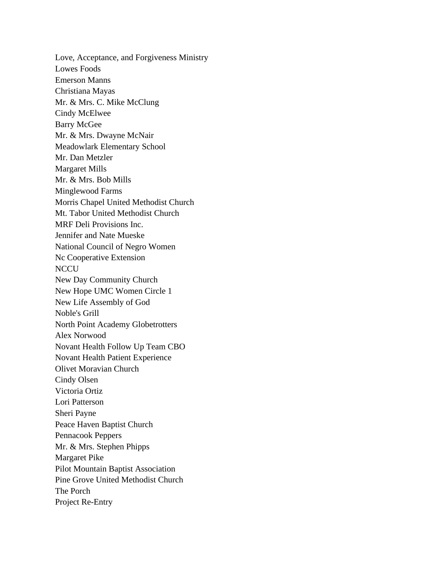Love, Acceptance, and Forgiveness Ministry Lowes Foods Emerson Manns Christiana Mayas Mr. & Mrs. C. Mike McClung Cindy McElwee Barry McGee Mr. & Mrs. Dwayne McNair Meadowlark Elementary School Mr. Dan Metzler Margaret Mills Mr. & Mrs. Bob Mills Minglewood Farms Morris Chapel United Methodist Church Mt. Tabor United Methodist Church MRF Deli Provisions Inc. Jennifer and Nate Mueske National Council of Negro Women Nc Cooperative Extension **NCCU** New Day Community Church New Hope UMC Women Circle 1 New Life Assembly of God Noble's Grill North Point Academy Globetrotters Alex Norwood Novant Health Follow Up Team CBO Novant Health Patient Experience Olivet Moravian Church Cindy Olsen Victoria Ortiz Lori Patterson Sheri Payne Peace Haven Baptist Church Pennacook Peppers Mr. & Mrs. Stephen Phipps Margaret Pike Pilot Mountain Baptist Association Pine Grove United Methodist Church The Porch Project Re-Entry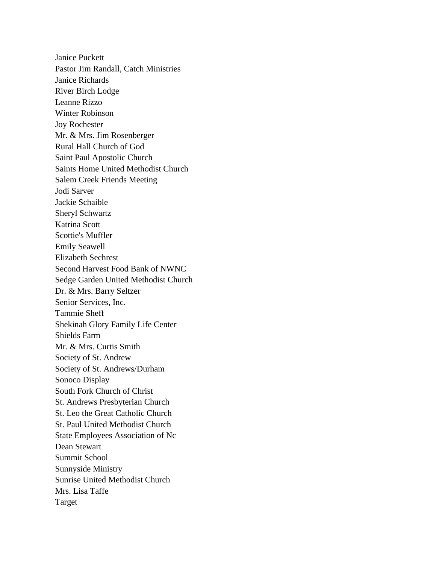Janice Puckett Pastor Jim Randall, Catch Ministries Janice Richards River Birch Lodge Leanne Rizzo Winter Robinson Joy Rochester Mr. & Mrs. Jim Rosenberger Rural Hall Church of God Saint Paul Apostolic Church Saints Home United Methodist Church Salem Creek Friends Meeting Jodi Sarver Jackie Schaible Sheryl Schwartz Katrina Scott Scottie's Muffler Emily Seawell Elizabeth Sechrest Second Harvest Food Bank of NWNC Sedge Garden United Methodist Church Dr. & Mrs. Barry Seltzer Senior Services, Inc. Tammie Sheff Shekinah Glory Family Life Center Shields Farm Mr. & Mrs. Curtis Smith Society of St. Andrew Society of St. Andrews/Durham Sonoco Display South Fork Church of Christ St. Andrews Presbyterian Church St. Leo the Great Catholic Church St. Paul United Methodist Church State Employees Association of Nc Dean Stewart Summit School Sunnyside Ministry Sunrise United Methodist Church Mrs. Lisa Taffe Target